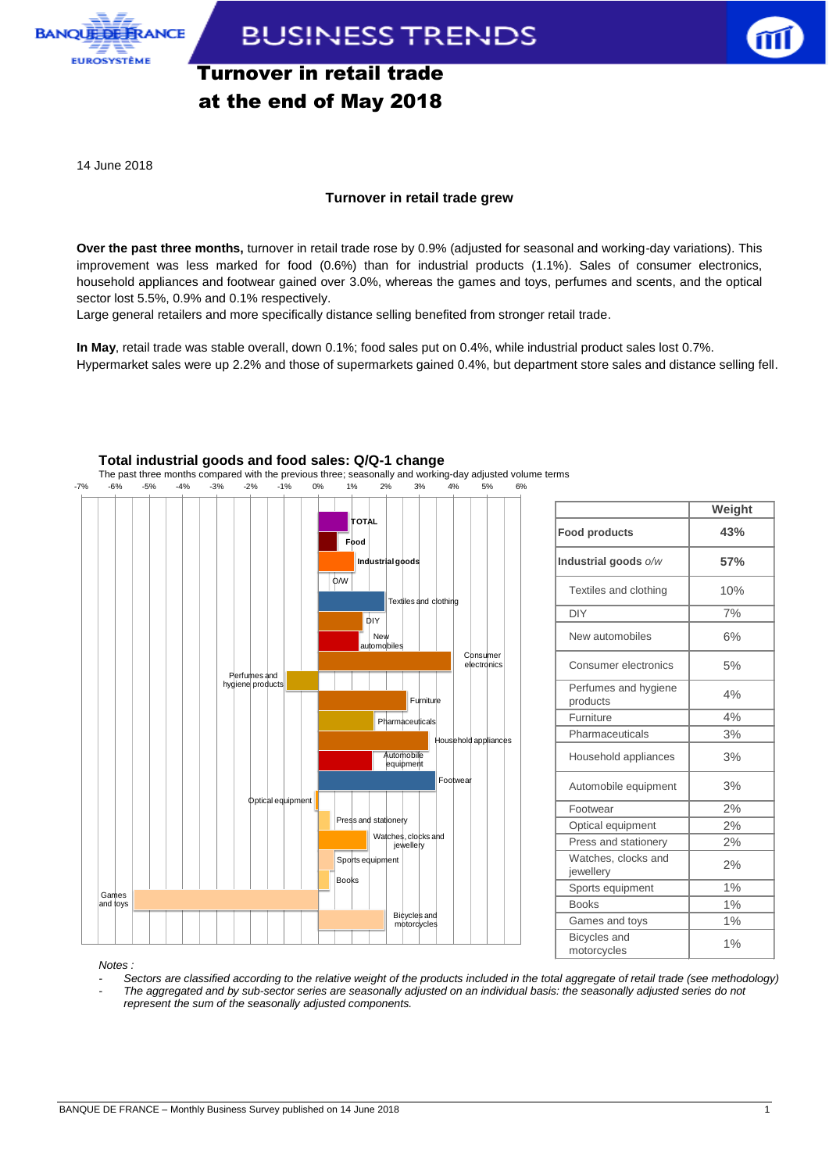

**BUSINESS TRENDS** 

# Turnover in retail trade at the end of May 2018

14 June 2018

### **Turnover in retail trade grew**

**Over the past three months,** turnover in retail trade rose by 0.9% (adjusted for seasonal and working-day variations). This improvement was less marked for food (0.6%) than for industrial products (1.1%). Sales of consumer electronics, household appliances and footwear gained over 3.0%, whereas the games and toys, perfumes and scents, and the optical sector lost 5.5%, 0.9% and 0.1% respectively.

Large general retailers and more specifically distance selling benefited from stronger retail trade.

**In May**, retail trade was stable overall, down 0.1%; food sales put on 0.4%, while industrial product sales lost 0.7%. Hypermarket sales were up 2.2% and those of supermarkets gained 0.4%, but department store sales and distance selling fell.



## **Total industrial goods and food sales: Q/Q-1 change**

The past three months compared with the previous three; seasonally and working-day adjusted volume terms

|                                  | Weight |
|----------------------------------|--------|
| <b>Food products</b>             | 43%    |
| Industrial goods o/w             | 57%    |
| Textiles and clothing            | 10%    |
| DIY                              | 7%     |
| New automobiles                  | 6%     |
| Consumer electronics             | 5%     |
| Perfumes and hygiene<br>products | 4%     |
| Furniture                        | 4%     |
| Pharmaceuticals                  | 3%     |
| Household appliances             | 3%     |
| Automobile equipment             | 3%     |
| Footwear                         | 2%     |
| Optical equipment                | 2%     |
| Press and stationery             | 2%     |
| Watches, clocks and<br>jewellery | 2%     |
| Sports equipment                 | 1%     |
| <b>Books</b>                     | 1%     |
| Games and toys                   | 1%     |
| Bicycles and<br>motorcycles      | 1%     |

*Notes :* 

*- Sectors are classified according to the relative weight of the products included in the total aggregate of retail trade (see methodology) - The aggregated and by sub-sector series are seasonally adjusted on an individual basis: the seasonally adjusted series do not represent the sum of the seasonally adjusted components.*